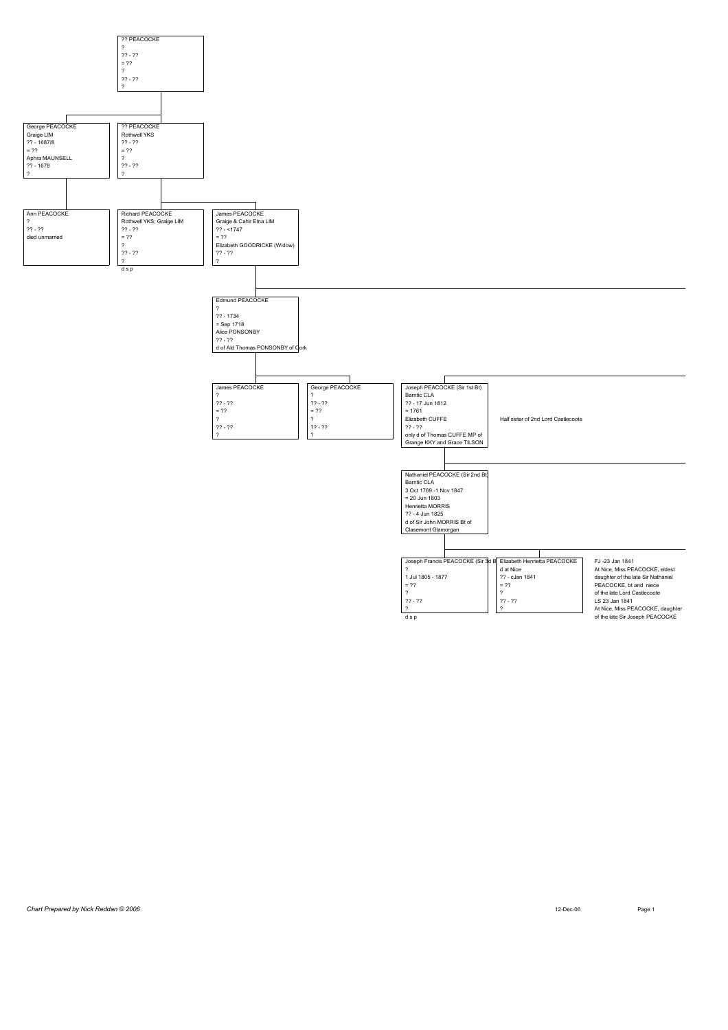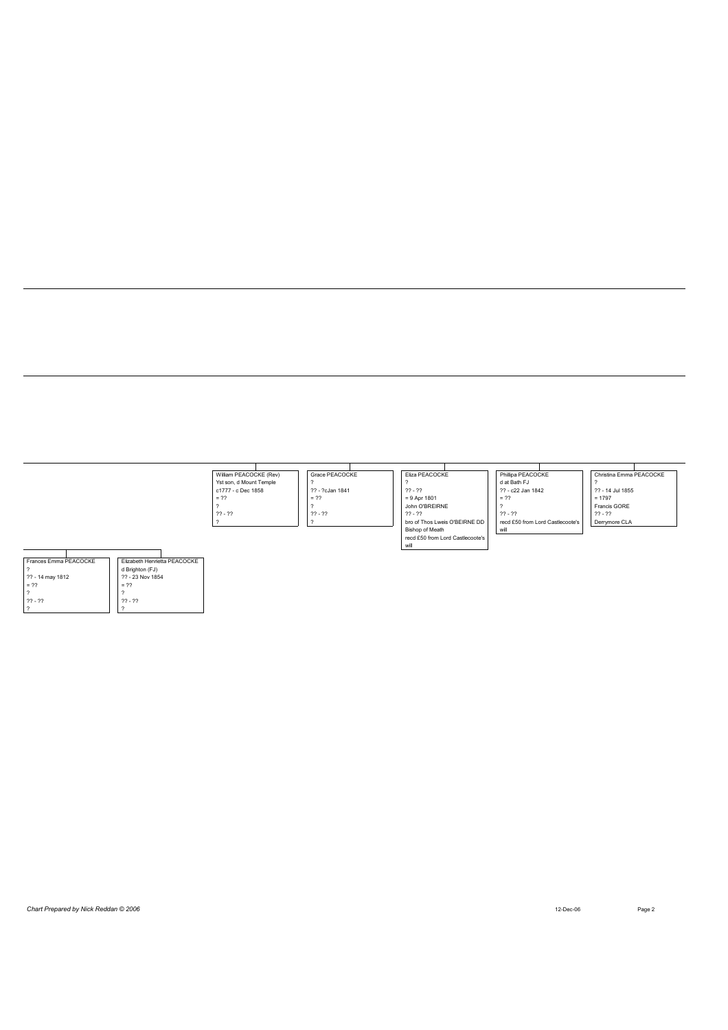|                       |                              | William PEACOCKE (Rev)  | Grace PEACOCKE  | Eliza PEACOCKE                   | Phillipa PEACOCKE                | Christina Emma PEACOCKE |
|-----------------------|------------------------------|-------------------------|-----------------|----------------------------------|----------------------------------|-------------------------|
|                       |                              | Yst son, d Mount Temple |                 |                                  | d at Bath FJ                     |                         |
|                       |                              | c1777 - c Dec 1858      | ?? - ?cJan 1841 | $22 - 22$                        | ?? - c22 Jan 1842                | ?? - 14 Jul 1855        |
|                       |                              | $= 22$                  | $= 22$          | $= 9$ Apr 1801                   | $= 22$                           | $= 1797$                |
|                       |                              |                         |                 | John O'BREIRNE                   |                                  | Francis GORE            |
|                       |                              | $22 - 22$               | $22 - 22$       | $22 - 22$                        | $22 - 22$                        | $22 - 22$               |
|                       |                              |                         |                 | bro of Thos Lweis O'BEIRNE DD    | recd £50 from Lord Castlecoote's | Derrymore CLA           |
|                       |                              |                         |                 | Bishop of Meath                  | will                             |                         |
|                       |                              |                         |                 | recd £50 from Lord Castlecoote's |                                  |                         |
|                       |                              |                         |                 | will                             |                                  |                         |
|                       |                              |                         |                 |                                  |                                  |                         |
| Frances Emma PEACOCKE | Elizabeth Henrietta PEACOCKE |                         |                 |                                  |                                  |                         |
| $\gamma$              | d Brighton (FJ)              |                         |                 |                                  |                                  |                         |
| ?? - 14 may 1812      | ?? - 23 Nov 1854             |                         |                 |                                  |                                  |                         |
| $= 22$                | $= 22$                       |                         |                 |                                  |                                  |                         |
| $\overline{?}$        |                              |                         |                 |                                  |                                  |                         |
| $22 - 22$             | $22 - 22$                    |                         |                 |                                  |                                  |                         |
| $\overline{?}$        |                              |                         |                 |                                  |                                  |                         |

| Chart Prepared by Nick Reddan © 2006 | 12-Dec-06 | Page 2 |
|--------------------------------------|-----------|--------|
|--------------------------------------|-----------|--------|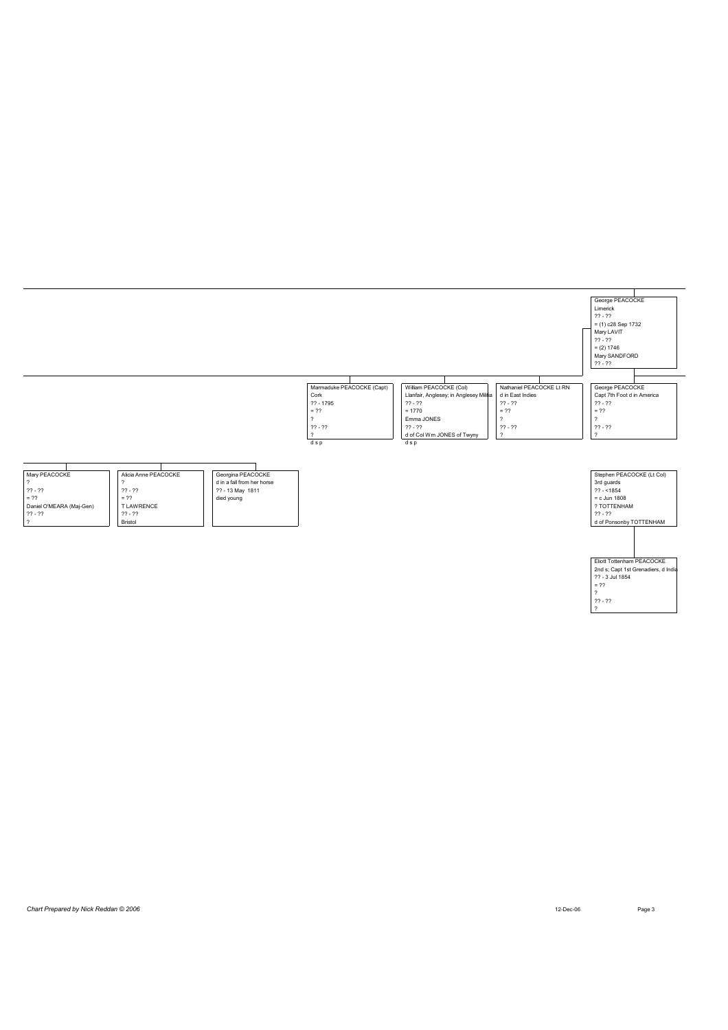

?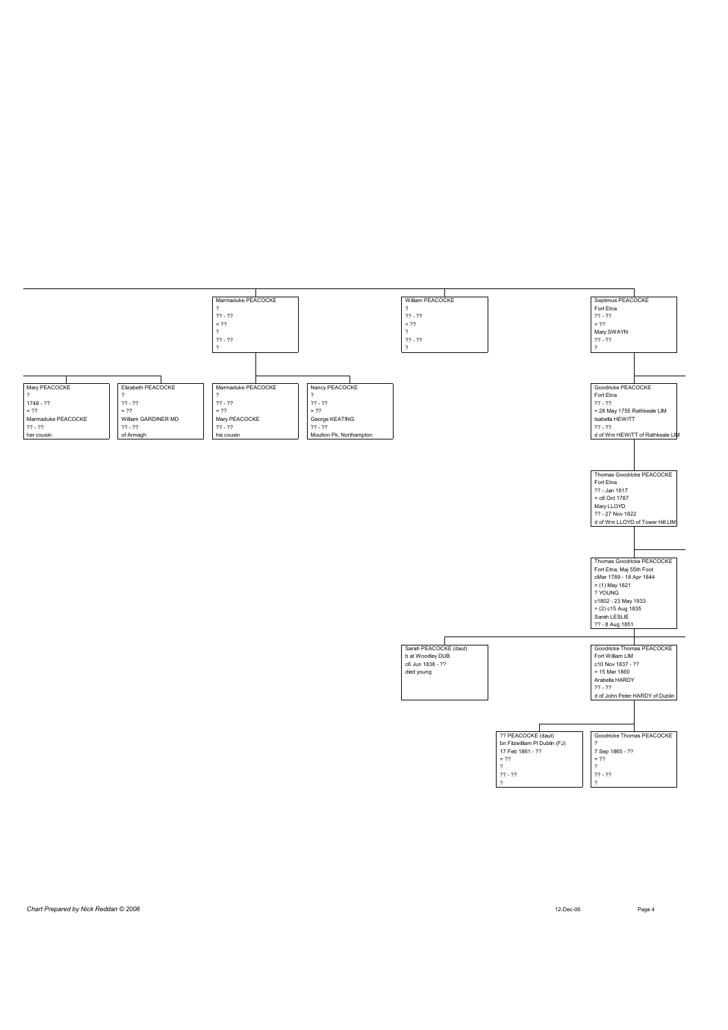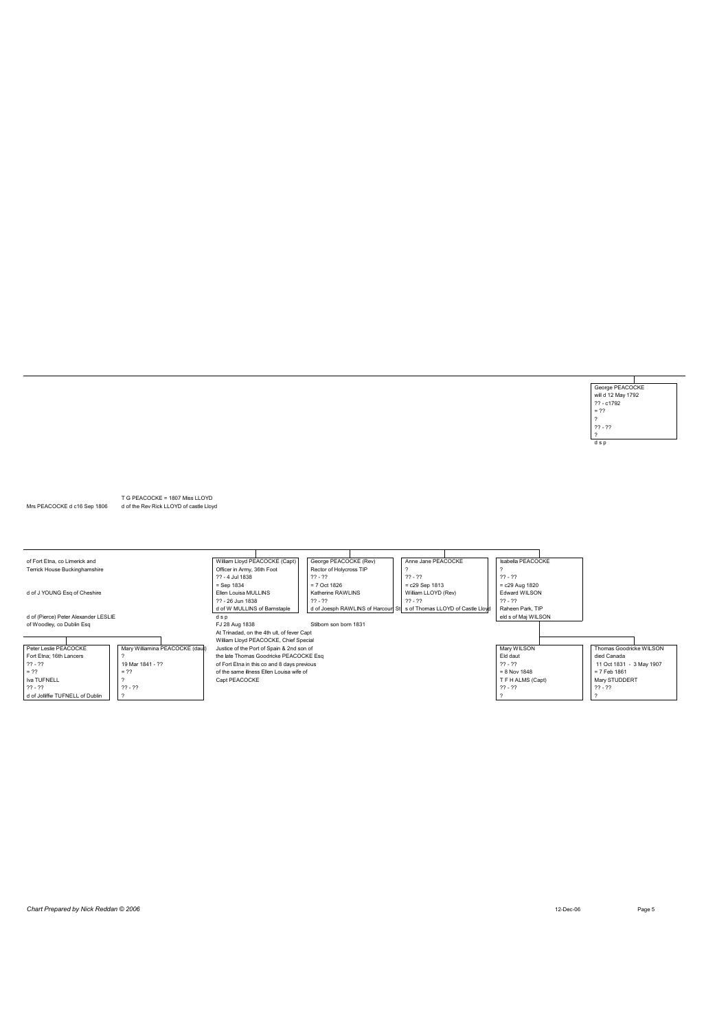George PEACOCKE<br>will d 12 May 1792<br>?? - c1792<br>= ??<br>?<br>?? - ??  $rac{1}{ds}$ 

T G PEACOCKE = 1807 Miss LLOYD<br>Mrs PEACOCKE d c16 Sep 1806 d of the Rev Rick LLOYD of castle Lloyd

| of Fort Etna, co Limerick and        |                                 | William Lloyd PEACOCKE (Capt)               | George PEACOCKE (Rev)   | Anne Jane PEACOCKE                                                   | Isabella PEACOCKE   |                          |
|--------------------------------------|---------------------------------|---------------------------------------------|-------------------------|----------------------------------------------------------------------|---------------------|--------------------------|
| Terrick House Buckinghamshire        |                                 | Officer in Army, 36th Foot                  | Rector of Holycross TIP |                                                                      |                     |                          |
|                                      |                                 | ?? - 4 Jul 1838                             | $22 - 22$               | $22 - 22$                                                            | $22 - 22$           |                          |
|                                      |                                 | $=$ Sep 1834                                | $= 7$ Oct 1826          | $= c29$ Sep 1813                                                     | $= c29$ Aug 1820    |                          |
| d of J YOUNG Esq of Cheshire         |                                 | Ellen Louisa MULLINS                        | Katherine RAWLINS       | William LLOYD (Rev)                                                  | Edward WILSON       |                          |
|                                      |                                 | ?? - 26 Jun 1838                            | $22 - 22$               | $22 - 22$                                                            | $22 - 22$           |                          |
|                                      |                                 | d of W MULLINS of Barnstaple                |                         | d of Joesph RAWLINS of Harcourt St s of Thomas LLOYD of Castle Lloyd | Raheen Park, TIP    |                          |
| d of (Pierce) Peter Alexander LESLIE |                                 | dsp                                         |                         |                                                                      | eld s of Mai WILSON |                          |
| of Woodley, co Dublin Esq            |                                 | FJ 28 Aug 1838                              | Stilborn son born 1831  |                                                                      |                     |                          |
|                                      |                                 | At Trinadad, on the 4th ult, of fever Capt  |                         |                                                                      |                     |                          |
|                                      |                                 | William Lloyd PEACOCKE, Chief Special       |                         |                                                                      |                     |                          |
| Peter Leslie PEACOCKE                | Mary Williamina PEACOCKE (daut) | Justice of the Port of Spain & 2nd son of   |                         |                                                                      | Mary WILSON         | Thomas Goodricke WILSON  |
| Fort Etna: 16th Lancers              |                                 | the late Thomas Goodricke PEACOCKE Esq      |                         |                                                                      | Eld daut            | died Canada              |
| $22 - 22$                            | 19 Mar 1841 - 22                | of Fort Etna in this co and 8 days previous |                         |                                                                      | $22 - 22$           | 11 Oct 1831 - 3 May 1907 |
| $= 22$                               | $= 22$                          | of the same illness Ellen Louisa wife of    |                         | $= 8$ Nov 1848                                                       | = 7 Feb 1861        |                          |
| Iva TUFNELL                          |                                 | Capt PEACOCKE                               |                         |                                                                      | T F H ALMS (Capt)   | Mary STUDDERT            |
| $22 - 22$                            | $22 - 22$                       |                                             |                         |                                                                      | $22 - 22$           | $22 - 22$                |
| d of Jolliffw TUFNELL of Dublin      |                                 |                                             |                         |                                                                      |                     |                          |